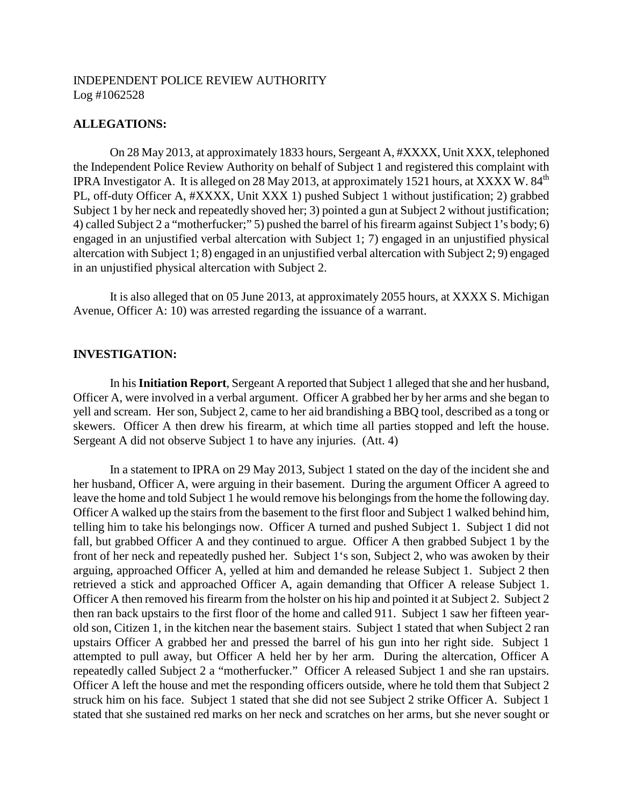## **ALLEGATIONS:**

On 28 May 2013, at approximately 1833 hours, Sergeant A, #XXXX, Unit XXX, telephoned the Independent Police Review Authority on behalf of Subject 1 and registered this complaint with IPRA Investigator A. It is alleged on 28 May 2013, at approximately 1521 hours, at XXXX W.  $84<sup>th</sup>$ PL, off-duty Officer A, #XXXX, Unit XXX 1) pushed Subject 1 without justification; 2) grabbed Subject 1 by her neck and repeatedly shoved her; 3) pointed a gun at Subject 2 without justification; 4) called Subject 2 a "motherfucker;" 5) pushed the barrel of his firearm against Subject 1's body; 6) engaged in an unjustified verbal altercation with Subject 1; 7) engaged in an unjustified physical altercation with Subject 1; 8) engaged in an unjustified verbal altercation with Subject 2; 9) engaged in an unjustified physical altercation with Subject 2.

It is also alleged that on 05 June 2013, at approximately 2055 hours, at XXXX S. Michigan Avenue, Officer A: 10) was arrested regarding the issuance of a warrant.

## **INVESTIGATION:**

In his**Initiation Report**, Sergeant A reported that Subject 1 alleged that she and her husband, Officer A, were involved in a verbal argument. Officer A grabbed her by her arms and she began to yell and scream. Her son, Subject 2, came to her aid brandishing a BBQ tool, described as a tong or skewers. Officer A then drew his firearm, at which time all parties stopped and left the house. Sergeant A did not observe Subject 1 to have any injuries. (Att. 4)

In a statement to IPRA on 29 May 2013, Subject 1 stated on the day of the incident she and her husband, Officer A, were arguing in their basement. During the argument Officer A agreed to leave the home and told Subject 1 he would remove his belongings from the home the following day. Officer A walked up the stairs from the basement to the first floor and Subject 1 walked behind him, telling him to take his belongings now. Officer A turned and pushed Subject 1. Subject 1 did not fall, but grabbed Officer A and they continued to argue. Officer A then grabbed Subject 1 by the front of her neck and repeatedly pushed her. Subject 1's son, Subject 2, who was awoken by their arguing, approached Officer A, yelled at him and demanded he release Subject 1. Subject 2 then retrieved a stick and approached Officer A, again demanding that Officer A release Subject 1. Officer A then removed his firearm from the holster on his hip and pointed it at Subject 2. Subject 2 then ran back upstairs to the first floor of the home and called 911. Subject 1 saw her fifteen yearold son, Citizen 1, in the kitchen near the basement stairs. Subject 1 stated that when Subject 2 ran upstairs Officer A grabbed her and pressed the barrel of his gun into her right side. Subject 1 attempted to pull away, but Officer A held her by her arm. During the altercation, Officer A repeatedly called Subject 2 a "motherfucker." Officer A released Subject 1 and she ran upstairs. Officer A left the house and met the responding officers outside, where he told them that Subject 2 struck him on his face. Subject 1 stated that she did not see Subject 2 strike Officer A. Subject 1 stated that she sustained red marks on her neck and scratches on her arms, but she never sought or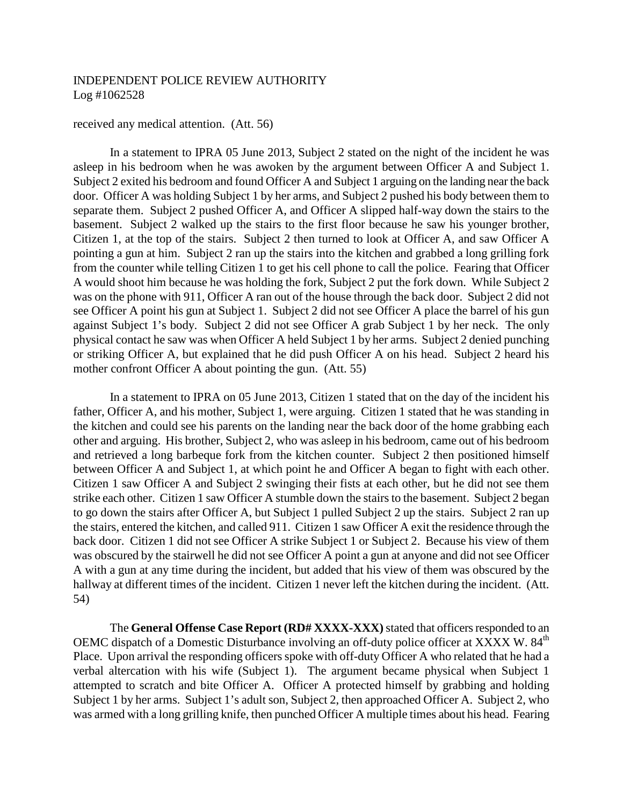#### received any medical attention. (Att. 56)

In a statement to IPRA 05 June 2013, Subject 2 stated on the night of the incident he was asleep in his bedroom when he was awoken by the argument between Officer A and Subject 1. Subject 2 exited his bedroom and found Officer A and Subject 1 arguing on the landing near the back door. Officer A was holding Subject 1 by her arms, and Subject 2 pushed his body between them to separate them. Subject 2 pushed Officer A, and Officer A slipped half-way down the stairs to the basement. Subject 2 walked up the stairs to the first floor because he saw his younger brother, Citizen 1, at the top of the stairs. Subject 2 then turned to look at Officer A, and saw Officer A pointing a gun at him. Subject 2 ran up the stairs into the kitchen and grabbed a long grilling fork from the counter while telling Citizen 1 to get his cell phone to call the police. Fearing that Officer A would shoot him because he was holding the fork, Subject 2 put the fork down. While Subject 2 was on the phone with 911, Officer A ran out of the house through the back door. Subject 2 did not see Officer A point his gun at Subject 1. Subject 2 did not see Officer A place the barrel of his gun against Subject 1's body. Subject 2 did not see Officer A grab Subject 1 by her neck. The only physical contact he saw was when Officer A held Subject 1 by her arms. Subject 2 denied punching or striking Officer A, but explained that he did push Officer A on his head. Subject 2 heard his mother confront Officer A about pointing the gun. (Att. 55)

In a statement to IPRA on 05 June 2013, Citizen 1 stated that on the day of the incident his father, Officer A, and his mother, Subject 1, were arguing. Citizen 1 stated that he was standing in the kitchen and could see his parents on the landing near the back door of the home grabbing each other and arguing. His brother, Subject 2, who was asleep in his bedroom, came out of his bedroom and retrieved a long barbeque fork from the kitchen counter. Subject 2 then positioned himself between Officer A and Subject 1, at which point he and Officer A began to fight with each other. Citizen 1 saw Officer A and Subject 2 swinging their fists at each other, but he did not see them strike each other. Citizen 1 saw Officer A stumble down the stairs to the basement. Subject 2 began to go down the stairs after Officer A, but Subject 1 pulled Subject 2 up the stairs. Subject 2 ran up the stairs, entered the kitchen, and called 911. Citizen 1 saw Officer A exit the residence through the back door. Citizen 1 did not see Officer A strike Subject 1 or Subject 2. Because his view of them was obscured by the stairwell he did not see Officer A point a gun at anyone and did not see Officer A with a gun at any time during the incident, but added that his view of them was obscured by the hallway at different times of the incident. Citizen 1 never left the kitchen during the incident. (Att. 54)

The **General Offense Case Report (RD# XXXX-XXX)** stated that officers responded to an OEMC dispatch of a Domestic Disturbance involving an off-duty police officer at XXXX W. 84<sup>th</sup> Place. Upon arrival the responding officers spoke with off-duty Officer A who related that he had a verbal altercation with his wife (Subject 1). The argument became physical when Subject 1 attempted to scratch and bite Officer A. Officer A protected himself by grabbing and holding Subject 1 by her arms. Subject 1's adult son, Subject 2, then approached Officer A. Subject 2, who was armed with a long grilling knife, then punched Officer A multiple times about his head. Fearing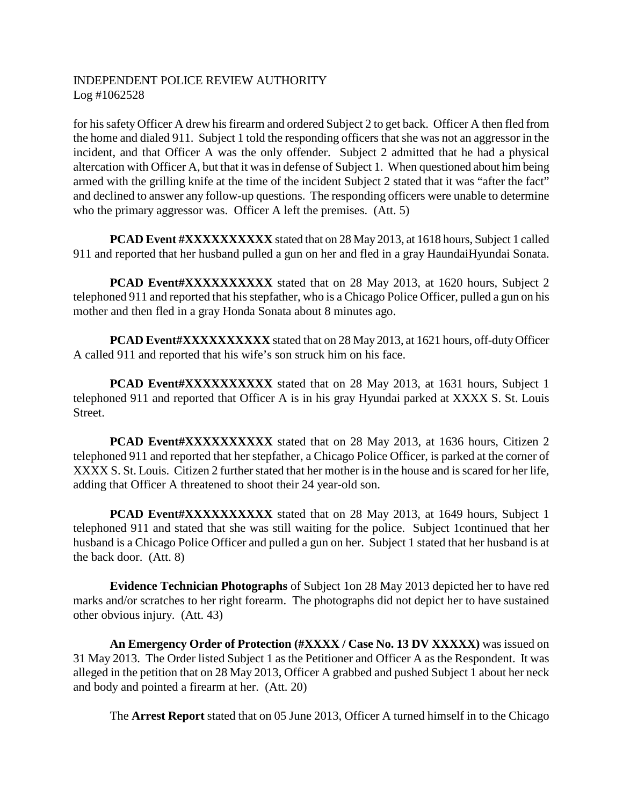for his safety Officer A drew his firearm and ordered Subject 2 to get back. Officer A then fled from the home and dialed 911. Subject 1 told the responding officers that she was not an aggressor in the incident, and that Officer A was the only offender. Subject 2 admitted that he had a physical altercation with Officer A, but that it was in defense of Subject 1. When questioned about him being armed with the grilling knife at the time of the incident Subject 2 stated that it was "after the fact" and declined to answer any follow-up questions. The responding officers were unable to determine who the primary aggressor was. Officer A left the premises. (Att. 5)

**PCAD Event #XXXXXXXXXXX** stated that on 28 May 2013, at 1618 hours, Subject 1 called 911 and reported that her husband pulled a gun on her and fled in a gray HaundaiHyundai Sonata.

**PCAD Event#XXXXXXXXXXX** stated that on 28 May 2013, at 1620 hours, Subject 2 telephoned 911 and reported that his stepfather, who is a Chicago Police Officer, pulled a gun on his mother and then fled in a gray Honda Sonata about 8 minutes ago.

**PCAD Event#XXXXXXXXXX** stated that on 28 May 2013, at 1621 hours, off-duty Officer A called 911 and reported that his wife's son struck him on his face.

**PCAD Event#XXXXXXXXXXXXXXX** stated that on 28 May 2013, at 1631 hours, Subject 1 telephoned 911 and reported that Officer A is in his gray Hyundai parked at XXXX S. St. Louis Street.

**PCAD Event#XXXXXXXXXXXXXX** stated that on 28 May 2013, at 1636 hours, Citizen 2 telephoned 911 and reported that her stepfather, a Chicago Police Officer, is parked at the corner of XXXX S. St. Louis. Citizen 2 further stated that her mother is in the house and is scared for her life, adding that Officer A threatened to shoot their 24 year-old son.

**PCAD Event#XXXXXXXXXXX** stated that on 28 May 2013, at 1649 hours, Subject 1 telephoned 911 and stated that she was still waiting for the police. Subject 1continued that her husband is a Chicago Police Officer and pulled a gun on her. Subject 1 stated that her husband is at the back door. (Att. 8)

**Evidence Technician Photographs** of Subject 1on 28 May 2013 depicted her to have red marks and/or scratches to her right forearm. The photographs did not depict her to have sustained other obvious injury. (Att. 43)

**An Emergency Order of Protection (#XXXX / Case No. 13 DV XXXXX)** was issued on 31 May 2013. The Order listed Subject 1 as the Petitioner and Officer A as the Respondent. It was alleged in the petition that on 28 May 2013, Officer A grabbed and pushed Subject 1 about her neck and body and pointed a firearm at her. (Att. 20)

The **Arrest Report** stated that on 05 June 2013, Officer A turned himself in to the Chicago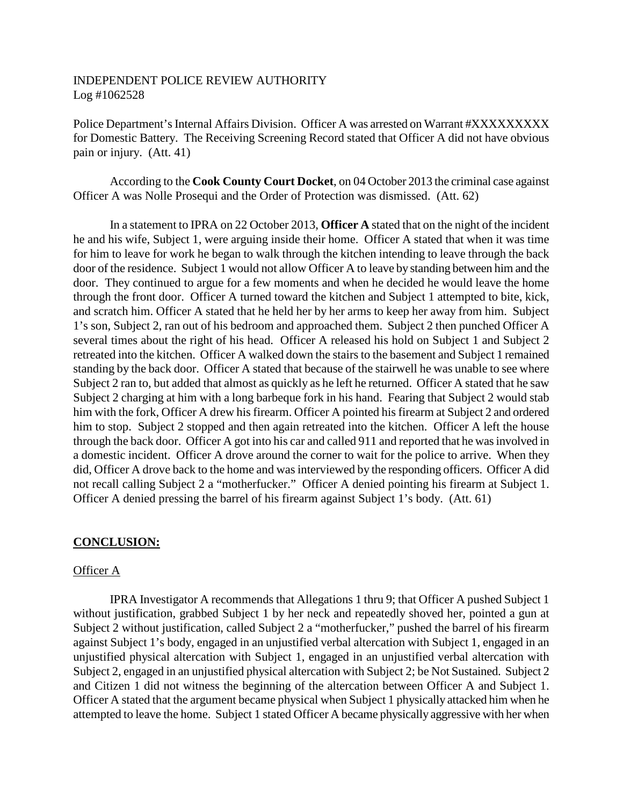Police Department's Internal Affairs Division. Officer A was arrested on Warrant #XXXXXXXXX for Domestic Battery. The Receiving Screening Record stated that Officer A did not have obvious pain or injury. (Att. 41)

According to the **Cook County Court Docket**, on 04 October 2013 the criminal case against Officer A was Nolle Prosequi and the Order of Protection was dismissed. (Att. 62)

In a statement to IPRA on 22 October 2013, **Officer A** stated that on the night of the incident he and his wife, Subject 1, were arguing inside their home. Officer A stated that when it was time for him to leave for work he began to walk through the kitchen intending to leave through the back door of the residence. Subject 1 would not allow Officer A to leave by standing between him and the door. They continued to argue for a few moments and when he decided he would leave the home through the front door. Officer A turned toward the kitchen and Subject 1 attempted to bite, kick, and scratch him. Officer A stated that he held her by her arms to keep her away from him. Subject 1's son, Subject 2, ran out of his bedroom and approached them. Subject 2 then punched Officer A several times about the right of his head. Officer A released his hold on Subject 1 and Subject 2 retreated into the kitchen. Officer A walked down the stairs to the basement and Subject 1 remained standing by the back door. Officer A stated that because of the stairwell he was unable to see where Subject 2 ran to, but added that almost as quickly as he left he returned. Officer A stated that he saw Subject 2 charging at him with a long barbeque fork in his hand. Fearing that Subject 2 would stab him with the fork, Officer A drew his firearm. Officer A pointed his firearm at Subject 2 and ordered him to stop. Subject 2 stopped and then again retreated into the kitchen. Officer A left the house through the back door. Officer A got into his car and called 911 and reported that he was involved in a domestic incident. Officer A drove around the corner to wait for the police to arrive. When they did, Officer A drove back to the home and was interviewed by the responding officers. Officer A did not recall calling Subject 2 a "motherfucker." Officer A denied pointing his firearm at Subject 1. Officer A denied pressing the barrel of his firearm against Subject 1's body. (Att. 61)

## **CONCLUSION:**

## Officer A

IPRA Investigator A recommends that Allegations 1 thru 9; that Officer A pushed Subject 1 without justification, grabbed Subject 1 by her neck and repeatedly shoved her, pointed a gun at Subject 2 without justification, called Subject 2 a "motherfucker," pushed the barrel of his firearm against Subject 1's body, engaged in an unjustified verbal altercation with Subject 1, engaged in an unjustified physical altercation with Subject 1, engaged in an unjustified verbal altercation with Subject 2, engaged in an unjustified physical altercation with Subject 2; be Not Sustained. Subject 2 and Citizen 1 did not witness the beginning of the altercation between Officer A and Subject 1. Officer A stated that the argument became physical when Subject 1 physically attacked him when he attempted to leave the home. Subject 1 stated Officer A became physically aggressive with her when